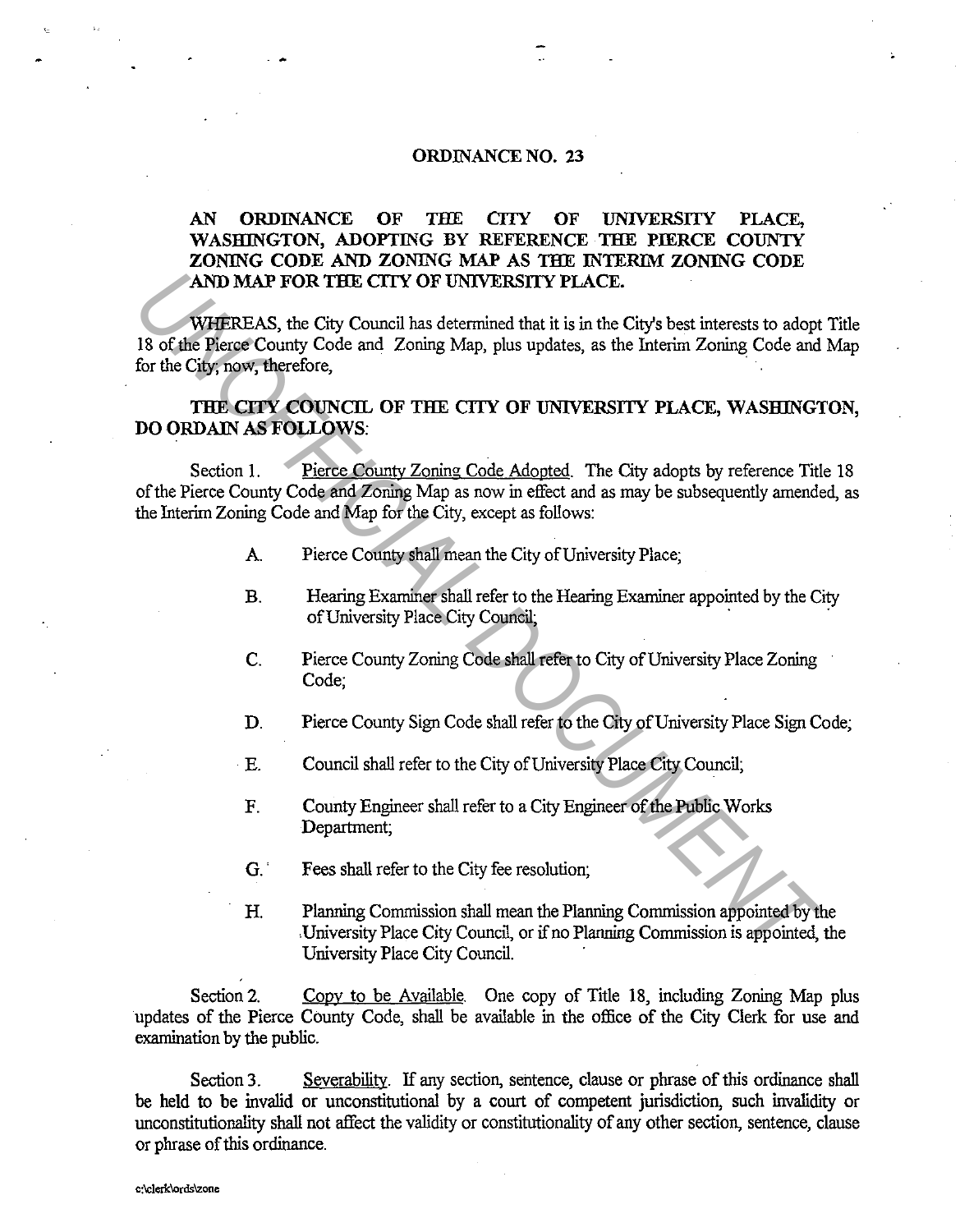#### ORDINANCE NO. 23

### AN ORDINANCE OF THE CITY OF UNIVERSITY PLACE, WASHINGTON, ADOPTING BY REFERENCE THE PIERCE COUNTY ZONING CODE AND ZONING MAP AS THE INTERIM ZONING CODE AND MAP FOR THE CITY OF UNIVERSITY PLACE.

WHEREAS, the City Council has determined that it is in the City's best interests to adopt Title 18 of the Pierce County Code and Zoning Map, plus updates, as the Interim Zoning Code and Map for the City; now, therefore, **EXERCISARY PROPAGE AS A SECTA CONDUCT CONDUCTS CONDUCTS AND A SURVEY COUNCIL OF THE CITY OF UNIVERSITY PLACE, WASHINGT TO for the City, fourth control Code and Zoning Map, plus updates, as the Interim Zoning Code and Zoni** 

#### THE CITY COUNCIL OF THE CITY OF UNIVERSITY PLACE, WASHINGTON, DO ORDAIN AS FOLLOWS:

Section 1. Pierce County Zoning Code Adopted. The City adopts by reference Title 18 of the Pierce County Code and Zoning Map as now in effect and as may be subsequently amended, as the Interim Zoning Code and Map for the City, except as follows:

- A Pierce County shall mean the City of University Place;
- B. Hearing Examiner shall refer to the Hearing Examiner appointed by the City of University Place City Council;
- C. Pierce County Zoning Code shall refer to City of University Place Zoning Code;
- D. Pierce County Sign Code shall refer to the City of University Place Sign Code;
- E. Council shall refer to the City of University Place City Council;
- F. County Engineer shall refer to a City Engineer of the Public Works Department;
- G. · Fees shall refer to the City fee resolution;
- H. Planning Commission shall mean the Planning Commission appointed by the . University Place City Council, or if no Planning Commission is appointed, the University Place City Council.

Section 2. Copy to be Available. One copy of Title 18, including Zoning Map plus updates of the Pierce County Code, shall be available in the office of the City Clerk for use and examination by the public.

Section 3. Severability. If any section, sentence, clause or phrase of this ordinance shall be held to be invalid or unconstitutional by a court of competent jurisdiction, such invalidity or unconstitutionality shall not affect the validity or constitutionality of any other section, sentence, clause or phrase of this ordinance.